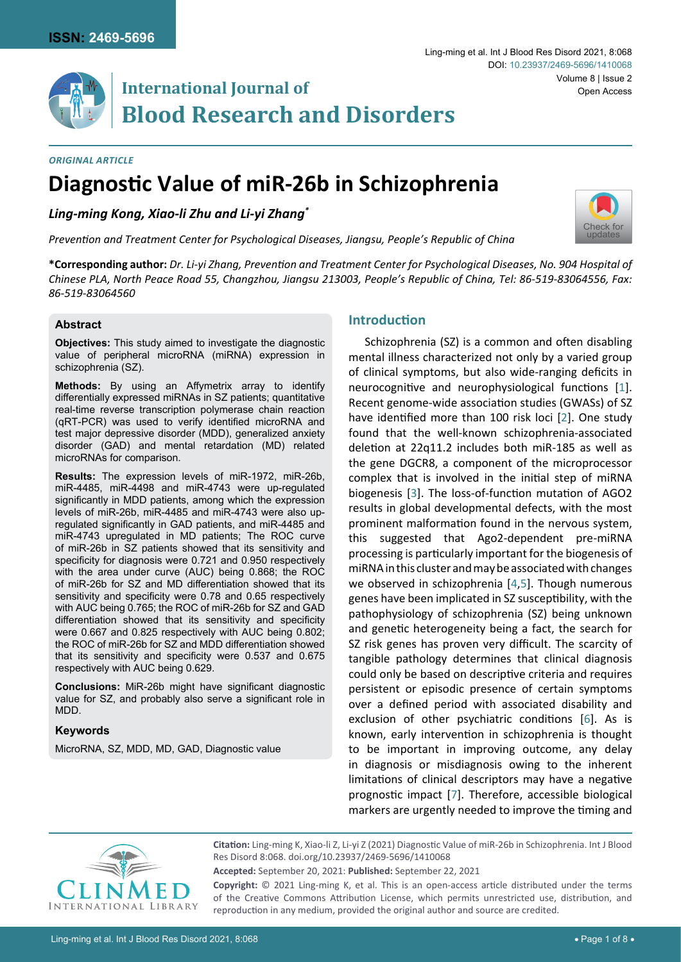

#### *Original Article*

# **Diagnostic Value of miR-26b in Schizophrenia**

*Ling-ming Kong, Xiao-li Zhu and Li-yi Zhang\**

*Prevention and Treatment Center for Psychological Diseases, Jiangsu, People's Republic of China*

**\*Corresponding author:** *Dr. Li-yi Zhang, Prevention and Treatment Center for Psychological Diseases, No. 904 Hospital of Chinese PLA, North Peace Road 55, Changzhou, Jiangsu 213003, People's Republic of China, Tel: 86-519-83064556, Fax: 86-519-83064560*

## **Abstract**

**Objectives:** This study aimed to investigate the diagnostic value of peripheral microRNA (miRNA) expression in schizophrenia (SZ).

**Methods:** By using an Affymetrix array to identify differentially expressed miRNAs in SZ patients; quantitative real-time reverse transcription polymerase chain reaction (qRT-PCR) was used to verify identified microRNA and test major depressive disorder (MDD), generalized anxiety disorder (GAD) and mental retardation (MD) related microRNAs for comparison.

**Results:** The expression levels of miR-1972, miR-26b, miR-4485, miR-4498 and miR-4743 were up-regulated significantly in MDD patients, among which the expression levels of miR-26b, miR-4485 and miR-4743 were also upregulated significantly in GAD patients, and miR-4485 and miR-4743 upregulated in MD patients; The ROC curve of miR-26b in SZ patients showed that its sensitivity and specificity for diagnosis were 0.721 and 0.950 respectively with the area under curve (AUC) being 0.868; the ROC of miR-26b for SZ and MD differentiation showed that its sensitivity and specificity were 0.78 and 0.65 respectively with AUC being 0.765; the ROC of miR-26b for SZ and GAD differentiation showed that its sensitivity and specificity were 0.667 and 0.825 respectively with AUC being 0.802; the ROC of miR-26b for SZ and MDD differentiation showed that its sensitivity and specificity were 0.537 and 0.675 respectively with AUC being 0.629.

**Conclusions:** MiR-26b might have significant diagnostic value for SZ, and probably also serve a significant role in MDD.

### **Keywords**

MicroRNA, SZ, MDD, MD, GAD, Diagnostic value

## **Introduction**

Schizophrenia (SZ) is a common and often disabling mental illness characterized not only by a varied group of clinical symptoms, but also wide-ranging deficits in neurocognitive and neurophysiological functions [[1](#page-6-0)]. Recent genome-wide association studies (GWASs) of SZ have identified more than 100 risk loci [[2](#page-6-1)]. One study found that the well-known schizophrenia-associated deletion at 22q11.2 includes both miR-185 as well as the gene DGCR8, a component of the microprocessor complex that is involved in the initial step of miRNA biogenesis [\[3\]](#page-6-2). The loss-of-function mutation of AGO2 results in global developmental defects, with the most prominent malformation found in the nervous system, this suggested that Ago2-dependent pre-miRNA processing is particularly important for the biogenesis of miRNA in this cluster and may be associated with changes we observed in schizophrenia [[4](#page-6-3),[5\]](#page-6-4). Though numerous genes have been implicated in SZ susceptibility, with the pathophysiology of schizophrenia (SZ) being unknown and genetic heterogeneity being a fact, the search for SZ risk genes has proven very difficult. The scarcity of tangible pathology determines that clinical diagnosis could only be based on descriptive criteria and requires persistent or episodic presence of certain symptoms over a defined period with associated disability and exclusion of other psychiatric conditions [[6](#page-6-5)]. As is known, early intervention in schizophrenia is thought to be important in improving outcome, any delay in diagnosis or misdiagnosis owing to the inherent limitations of clinical descriptors may have a negative prognostic impact [\[7\]](#page-7-0). Therefore, accessible biological markers are urgently needed to improve the timing and



**Citation:** Ling-ming K, Xiao-li Z, Li-yi Z (2021) Diagnostic Value of miR-26b in Schizophrenia. Int J Blood Res Disord 8:068. [doi.org/10.23937/2469-5696/1410068](https://doi.org/10.23937/2469-5696/1410068)

**Accepted:** September 20, 2021: **Published:** September 22, 2021

**Copyright:** © 2021 Ling-ming K, et al. This is an open-access article distributed under the terms of the Creative Commons Attribution License, which permits unrestricted use, distribution, and reproduction in any medium, provided the original author and source are credited.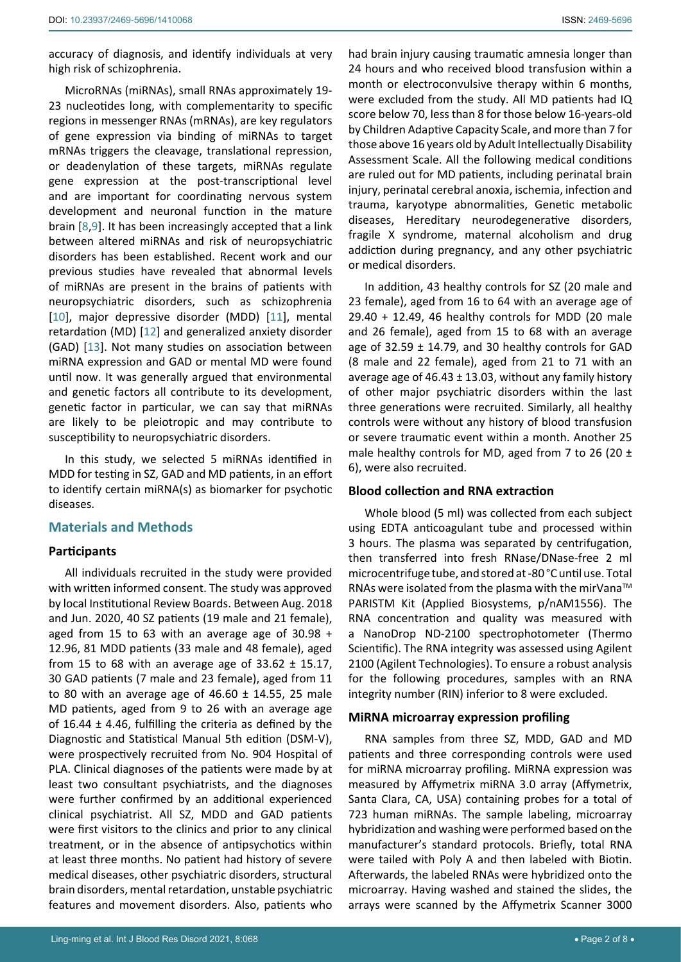accuracy of diagnosis, and identify individuals at very high risk of schizophrenia.

MicroRNAs (miRNAs), small RNAs approximately 19- 23 nucleotides long, with complementarity to specific regions in messenger RNAs (mRNAs), are key regulators of gene expression via binding of miRNAs to target mRNAs triggers the cleavage, translational repression, or deadenylation of these targets, miRNAs regulate gene expression at the post-transcriptional level and are important for coordinating nervous system development and neuronal function in the mature brain [[8](#page-7-1),[9\]](#page-7-2). It has been increasingly accepted that a link between altered miRNAs and risk of neuropsychiatric disorders has been established. Recent work and our previous studies have revealed that abnormal levels of miRNAs are present in the brains of patients with neuropsychiatric disorders, such as schizophrenia [[10](#page-7-3)], major depressive disorder (MDD) [[11](#page-7-4)], mental retardation (MD) [[12](#page-7-5)] and generalized anxiety disorder (GAD) [\[13\]](#page-7-6). Not many studies on association between miRNA expression and GAD or mental MD were found until now. It was generally argued that environmental and genetic factors all contribute to its development, genetic factor in particular, we can say that miRNAs are likely to be pleiotropic and may contribute to susceptibility to neuropsychiatric disorders.

In this study, we selected 5 miRNAs identified in MDD for testing in SZ, GAD and MD patients, in an effort to identify certain miRNA(s) as biomarker for psychotic diseases.

## **Materials and Methods**

### **Participants**

All individuals recruited in the study were provided with written informed consent. The study was approved by local Institutional Review Boards. Between Aug. 2018 and Jun. 2020, 40 SZ patients (19 male and 21 female), aged from 15 to 63 with an average age of 30.98 + 12.96, 81 MDD patients (33 male and 48 female), aged from 15 to 68 with an average age of  $33.62 \pm 15.17$ , 30 GAD patients (7 male and 23 female), aged from 11 to 80 with an average age of  $46.60 \pm 14.55$ , 25 male MD patients, aged from 9 to 26 with an average age of 16.44  $\pm$  4.46, fulfilling the criteria as defined by the Diagnostic and Statistical Manual 5th edition (DSM-V), were prospectively recruited from No. 904 Hospital of PLA. Clinical diagnoses of the patients were made by at least two consultant psychiatrists, and the diagnoses were further confirmed by an additional experienced clinical psychiatrist. All SZ, MDD and GAD patients were first visitors to the clinics and prior to any clinical treatment, or in the absence of antipsychotics within at least three months. No patient had history of severe medical diseases, other psychiatric disorders, structural brain disorders, mental retardation, unstable psychiatric features and movement disorders. Also, patients who

had brain injury causing traumatic amnesia longer than 24 hours and who received blood transfusion within a month or electroconvulsive therapy within 6 months, were excluded from the study. All MD patients had IQ score below 70, less than 8 for those below 16-years-old by Children Adaptive Capacity Scale, and more than 7 for those above 16 years old by Adult Intellectually Disability Assessment Scale. All the following medical conditions are ruled out for MD patients, including perinatal brain injury, perinatal cerebral anoxia, ischemia, infection and trauma, karyotype abnormalities, Genetic metabolic diseases, Hereditary neurodegenerative disorders, fragile X syndrome, maternal alcoholism and drug addiction during pregnancy, and any other psychiatric or medical disorders.

In addition, 43 healthy controls for SZ (20 male and 23 female), aged from 16 to 64 with an average age of 29.40 + 12.49, 46 healthy controls for MDD (20 male and 26 female), aged from 15 to 68 with an average age of  $32.59 \pm 14.79$ , and 30 healthy controls for GAD (8 male and 22 female), aged from 21 to 71 with an average age of 46.43  $\pm$  13.03, without any family history of other major psychiatric disorders within the last three generations were recruited. Similarly, all healthy controls were without any history of blood transfusion or severe traumatic event within a month. Another 25 male healthy controls for MD, aged from 7 to 26 (20  $\pm$ 6), were also recruited.

### **Blood collection and RNA extraction**

Whole blood (5 ml) was collected from each subject using EDTA anticoagulant tube and processed within 3 hours. The plasma was separated by centrifugation, then transferred into fresh RNase/DNase-free 2 ml microcentrifuge tube, and stored at -80 °C until use. Total RNAs were isolated from the plasma with the mirVana<sup>™</sup> PARISTM Kit (Applied Biosystems, p/nAM1556). The RNA concentration and quality was measured with a NanoDrop ND-2100 spectrophotometer (Thermo Scientific). The RNA integrity was assessed using Agilent 2100 (Agilent Technologies). To ensure a robust analysis for the following procedures, samples with an RNA integrity number (RIN) inferior to 8 were excluded.

## **MiRNA microarray expression profiling**

RNA samples from three SZ, MDD, GAD and MD patients and three corresponding controls were used for miRNA microarray profiling. MiRNA expression was measured by Affymetrix miRNA 3.0 array (Affymetrix, Santa Clara, CA, USA) containing probes for a total of 723 human miRNAs. The sample labeling, microarray hybridization and washing were performed based on the manufacturer's standard protocols. Briefly, total RNA were tailed with Poly A and then labeled with Biotin. Afterwards, the labeled RNAs were hybridized onto the microarray. Having washed and stained the slides, the arrays were scanned by the Affymetrix Scanner 3000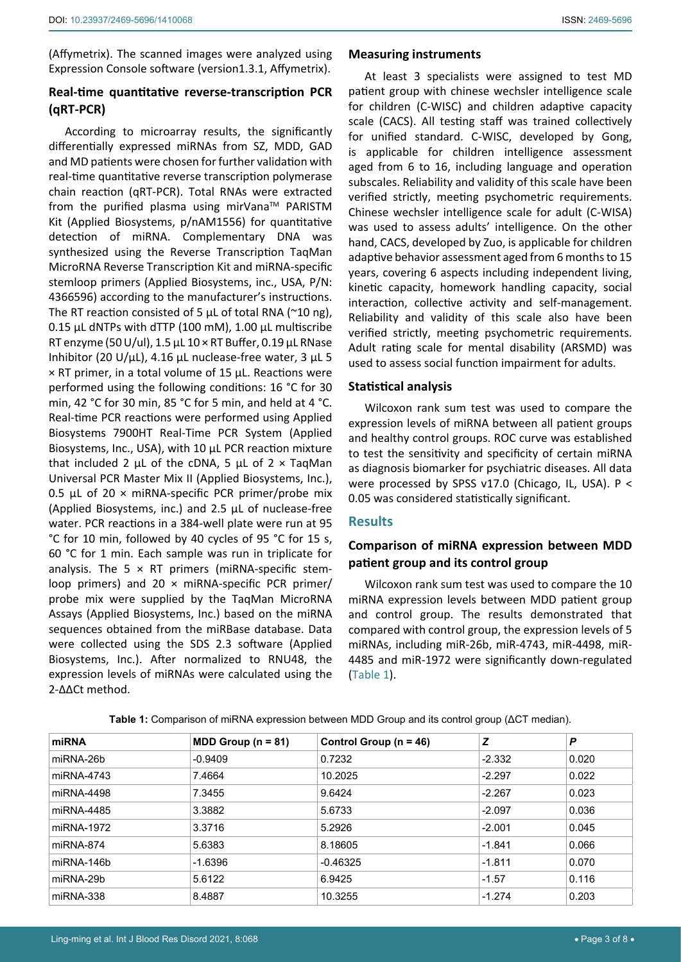(Affymetrix). The scanned images were analyzed using Expression Console software (version1.3.1, Affymetrix).

## **Real-time quantitative reverse-transcription PCR (qRT-PCR)**

According to microarray results, the significantly differentially expressed miRNAs from SZ, MDD, GAD and MD patients were chosen for further validation with real-time quantitative reverse transcription polymerase chain reaction (qRT-PCR). Total RNAs were extracted from the purified plasma using mirVana<sup>TM</sup> PARISTM Kit (Applied Biosystems, p/nAM1556) for quantitative detection of miRNA. Complementary DNA was synthesized using the Reverse Transcription TaqMan MicroRNA Reverse Transcription Kit and miRNA-specific stemloop primers (Applied Biosystems, inc., USA, P/N: 4366596) according to the manufacturer's instructions. The RT reaction consisted of 5  $\mu$ L of total RNA (~10 ng), 0.15 μL dNTPs with dTTP (100 mM), 1.00 μL multiscribe RT enzyme (50 U/ul), 1.5 μL 10 × RT Buffer, 0.19 μL RNase Inhibitor (20 U/μL), 4.16 μL nuclease-free water, 3 μL 5 × RT primer, in a total volume of 15 μL. Reactions were performed using the following conditions: 16 °C for 30 min, 42 °C for 30 min, 85 °C for 5 min, and held at 4 °C. Real-time PCR reactions were performed using Applied Biosystems 7900HT Real-Time PCR System (Applied Biosystems, Inc., USA), with 10 μL PCR reaction mixture that included 2 μL of the cDNA, 5 μL of  $2 \times$  TaqMan Universal PCR Master Mix II (Applied Biosystems, Inc.), 0.5 μL of 20  $\times$  miRNA-specific PCR primer/probe mix (Applied Biosystems, inc.) and 2.5 μL of nuclease-free water. PCR reactions in a 384-well plate were run at 95 °C for 10 min, followed by 40 cycles of 95 °C for 15 s, 60 °C for 1 min. Each sample was run in triplicate for analysis. The 5  $\times$  RT primers (miRNA-specific stemloop primers) and 20 × miRNA-specific PCR primer/ probe mix were supplied by the TaqMan MicroRNA Assays (Applied Biosystems, Inc.) based on the miRNA sequences obtained from the miRBase database. Data were collected using the SDS 2.3 software (Applied Biosystems, Inc.). After normalized to RNU48, the expression levels of miRNAs were calculated using the 2-ΔΔCt method.

#### **Measuring instruments**

At least 3 specialists were assigned to test MD patient group with chinese wechsler intelligence scale for children (C-WISC) and children adaptive capacity scale (CACS). All testing staff was trained collectively for unified standard. C-WISC, developed by Gong, is applicable for children intelligence assessment aged from 6 to 16, including language and operation subscales. Reliability and validity of this scale have been verified strictly, meeting psychometric requirements. Chinese wechsler intelligence scale for adult (C-WISA) was used to assess adults' intelligence. On the other hand, CACS, developed by Zuo, is applicable for children adaptive behavior assessment aged from 6 months to 15 years, covering 6 aspects including independent living, kinetic capacity, homework handling capacity, social interaction, collective activity and self-management. Reliability and validity of this scale also have been verified strictly, meeting psychometric requirements. Adult rating scale for mental disability (ARSMD) was used to assess social function impairment for adults.

### **Statistical analysis**

Wilcoxon rank sum test was used to compare the expression levels of miRNA between all patient groups and healthy control groups. ROC curve was established to test the sensitivity and specificity of certain miRNA as diagnosis biomarker for psychiatric diseases. All data were processed by SPSS v17.0 (Chicago, IL, USA). P < 0.05 was considered statistically significant.

### **Results**

## **Comparison of miRNA expression between MDD patient group and its control group**

Wilcoxon rank sum test was used to compare the 10 miRNA expression levels between MDD patient group and control group. The results demonstrated that compared with control group, the expression levels of 5 miRNAs, including miR-26b, miR-4743, miR-4498, miR-4485 and miR-1972 were significantly down-regulated (Table 1).

| miRNA      | MDD Group $(n = 81)$ | Control Group ( $n = 46$ ) | z        | P     |
|------------|----------------------|----------------------------|----------|-------|
| miRNA-26b  | $-0.9409$            | 0.7232                     | $-2.332$ | 0.020 |
| miRNA-4743 | 7.4664               | 10.2025                    | $-2.297$ | 0.022 |
| miRNA-4498 | 7.3455               | 9.6424                     | $-2.267$ | 0.023 |
| miRNA-4485 | 3.3882               | 5.6733                     | $-2.097$ | 0.036 |
| miRNA-1972 | 3.3716               | 5.2926                     | $-2.001$ | 0.045 |
| miRNA-874  | 5.6383               | 8.18605                    | -1.841   | 0.066 |
| miRNA-146b | $-1.6396$            | $-0.46325$                 | $-1.811$ | 0.070 |
| miRNA-29b  | 5.6122               | 6.9425                     | $-1.57$  | 0.116 |
| miRNA-338  | 8.4887               | 10.3255                    | $-1.274$ | 0.203 |

**Table 1:** Comparison of miRNA expression between MDD Group and its control group (ΔCT median).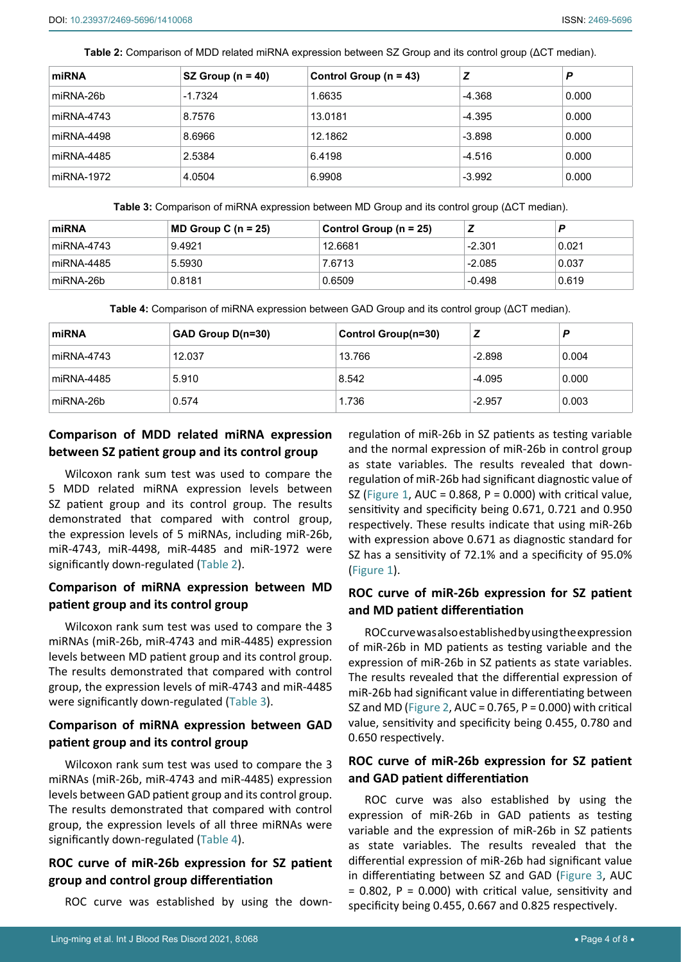**Table 2:** Comparison of MDD related miRNA expression between SZ Group and its control group (ΔCT median).

| miRNA      | SZ Group ( $n = 40$ ) | Control Group ( $n = 43$ ) | Ζ        | P     |
|------------|-----------------------|----------------------------|----------|-------|
| miRNA-26b  | $-1.7324$             | 1.6635                     | $-4.368$ | 0.000 |
| miRNA-4743 | 8.7576                | 13.0181                    | -4.395   | 0.000 |
| miRNA-4498 | 8.6966                | 12.1862                    | $-3.898$ | 0.000 |
| miRNA-4485 | 2.5384                | 6.4198                     | $-4.516$ | 0.000 |
| miRNA-1972 | 4.0504                | 6.9908                     | $-3.992$ | 0.000 |

**Table 3:** Comparison of miRNA expression between MD Group and its control group (ΔCT median).

| miRNA      | $\mathsf{MD}$ Group C (n = 25) | Control Group (n = 25) |          |       |
|------------|--------------------------------|------------------------|----------|-------|
| miRNA-4743 | 9.4921                         | 12.6681                | $-2.301$ | 0.021 |
| miRNA-4485 | 5.5930                         | 7.6713                 | $-2.085$ | 0.037 |
| miRNA-26b  | 0.8181                         | 0.6509                 | $-0.498$ | 0.619 |

**Table 4:** Comparison of miRNA expression between GAD Group and its control group (ΔCT median).

| miRNA      | GAD Group D(n=30) | Control Group(n=30) |          | Е     |
|------------|-------------------|---------------------|----------|-------|
| miRNA-4743 | 12.037            | 13.766              | $-2.898$ | 0.004 |
| miRNA-4485 | 5.910             | 8.542               | $-4.095$ | 0.000 |
| miRNA-26b  | 0.574             | 1.736               | $-2.957$ | 0.003 |

# **Comparison of MDD related miRNA expression between SZ patient group and its control group**

Wilcoxon rank sum test was used to compare the 5 MDD related miRNA expression levels between SZ patient group and its control group. The results demonstrated that compared with control group, the expression levels of 5 miRNAs, including miR-26b, miR-4743, miR-4498, miR-4485 and miR-1972 were significantly down-regulated (Table 2).

# **Comparison of miRNA expression between MD patient group and its control group**

Wilcoxon rank sum test was used to compare the 3 miRNAs (miR-26b, miR-4743 and miR-4485) expression levels between MD patient group and its control group. The results demonstrated that compared with control group, the expression levels of miR-4743 and miR-4485 were significantly down-regulated (Table 3).

## **Comparison of miRNA expression between GAD patient group and its control group**

Wilcoxon rank sum test was used to compare the 3 miRNAs (miR-26b, miR-4743 and miR-4485) expression levels between GAD patient group and its control group. The results demonstrated that compared with control group, the expression levels of all three miRNAs were significantly down-regulated (Table 4).

# **ROC curve of miR-26b expression for SZ patient group and control group differentiation**

ROC curve was established by using the down-

regulation of miR-26b in SZ patients as testing variable and the normal expression of miR-26b in control group as state variables. The results revealed that downregulation of miR-26b had significant diagnostic value of SZ (Figure 1, AUC =  $0.868$ , P =  $0.000$ ) with critical value, sensitivity and specificity being 0.671, 0.721 and 0.950 respectively. These results indicate that using miR-26b with expression above 0.671 as diagnostic standard for SZ has a sensitivity of 72.1% and a specificity of 95.0% (Figure 1).

## **ROC curve of miR-26b expression for SZ patient and MD patient differentiation**

ROC curve was also established by using the expression of miR-26b in MD patients as testing variable and the expression of miR-26b in SZ patients as state variables. The results revealed that the differential expression of miR-26b had significant value in differentiating between SZ and MD (Figure 2, AUC = 0.765, P = 0.000) with critical value, sensitivity and specificity being 0.455, 0.780 and 0.650 respectively.

# **ROC curve of miR-26b expression for SZ patient and GAD patient differentiation**

ROC curve was also established by using the expression of miR-26b in GAD patients as testing variable and the expression of miR-26b in SZ patients as state variables. The results revealed that the differential expression of miR-26b had significant value in differentiating between SZ and GAD (Figure 3, AUC  $= 0.802$ , P = 0.000) with critical value, sensitivity and specificity being 0.455, 0.667 and 0.825 respectively.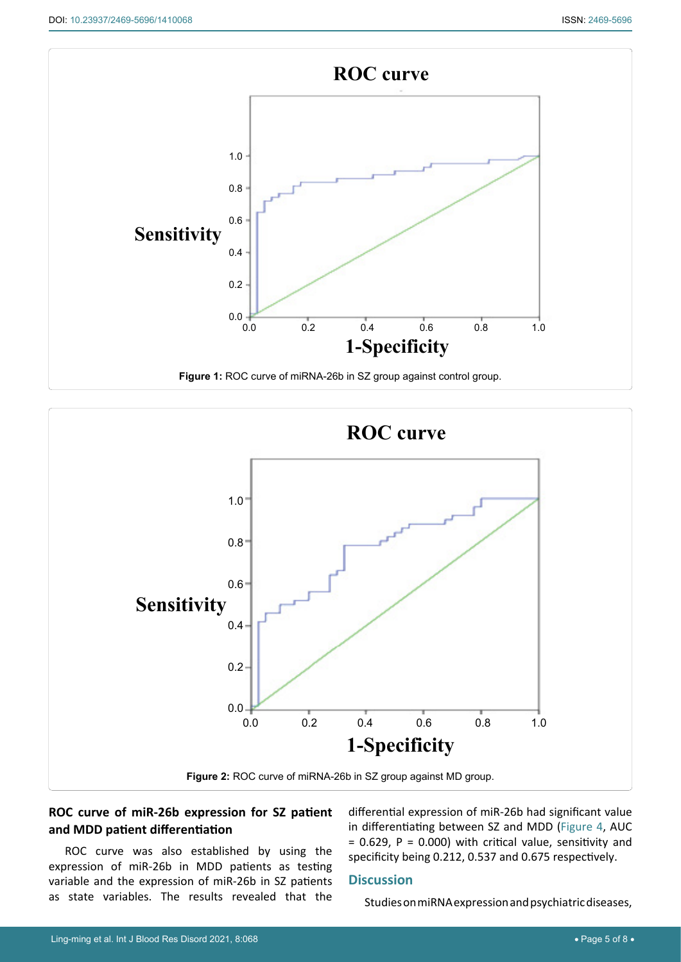



# **ROC curve of miR-26b expression for SZ patient and MDD patient differentiation**

ROC curve was also established by using the expression of miR-26b in MDD patients as testing variable and the expression of miR-26b in SZ patients as state variables. The results revealed that the

differential expression of miR-26b had significant value in differentiating between SZ and MDD (Figure 4, AUC  $= 0.629$ , P = 0.000) with critical value, sensitivity and specificity being 0.212, 0.537 and 0.675 respectively.

## **Discussion**

Studies on miRNA expression and psychiatric diseases,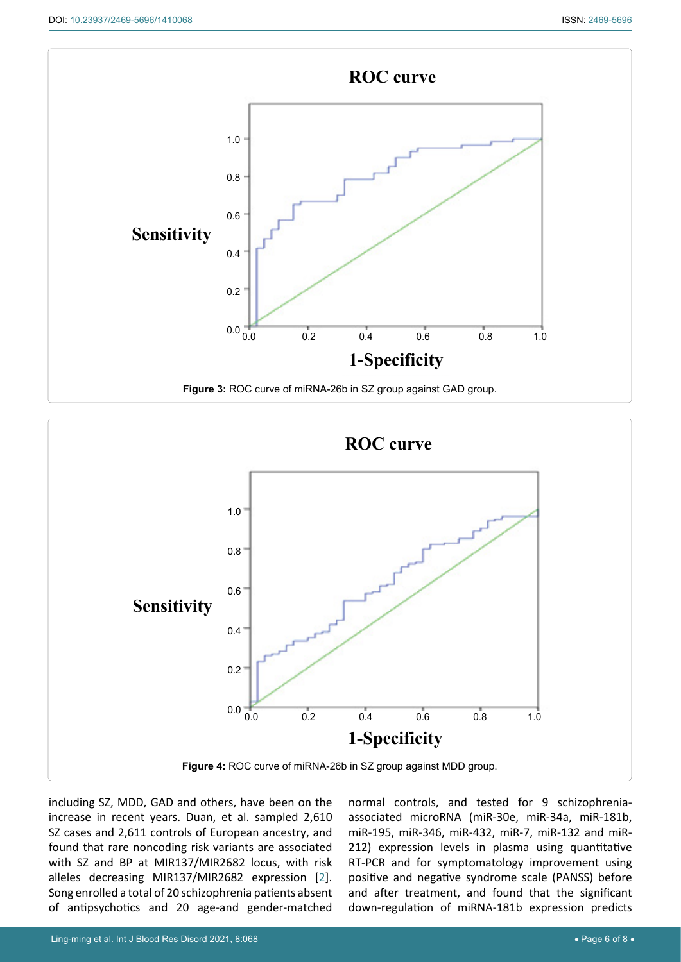



including SZ, MDD, GAD and others, have been on the increase in recent years. Duan, et al. sampled 2,610 SZ cases and 2,611 controls of European ancestry, and found that rare noncoding risk variants are associated with SZ and BP at MIR137/MIR2682 locus, with risk alleles decreasing MIR137/MIR2682 expression [[2](#page-6-1)]. Song enrolled a total of 20 schizophrenia patients absent of antipsychotics and 20 age-and gender-matched normal controls, and tested for 9 schizophreniaassociated microRNA (miR-30e, miR-34a, miR-181b, miR-195, miR-346, miR-432, miR-7, miR-132 and miR-212) expression levels in plasma using quantitative RT-PCR and for symptomatology improvement using positive and negative syndrome scale (PANSS) before and after treatment, and found that the significant down-regulation of miRNA-181b expression predicts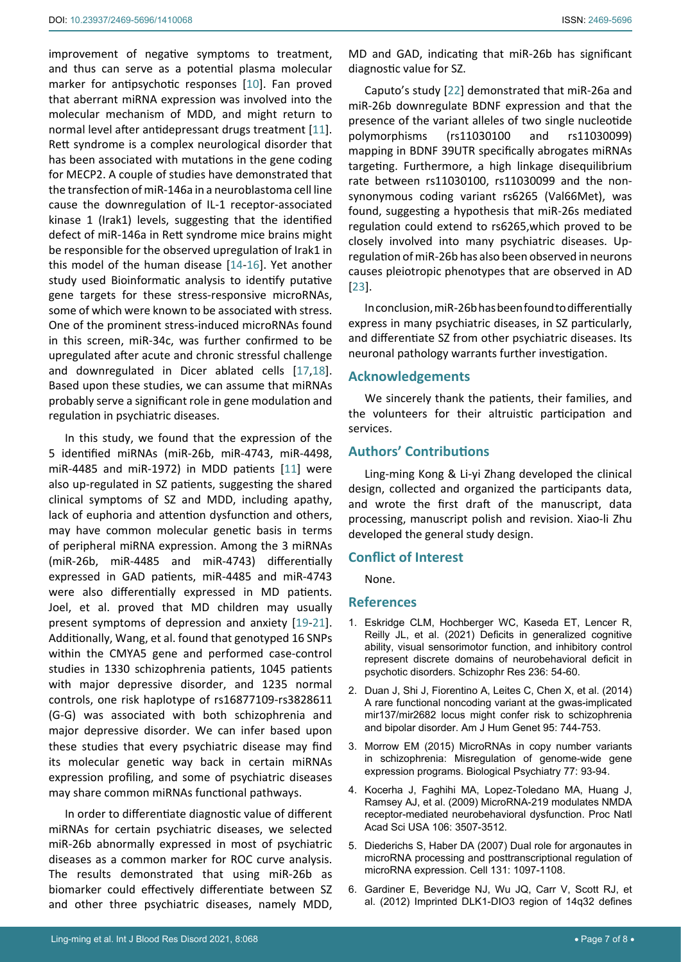improvement of negative symptoms to treatment, and thus can serve as a potential plasma molecular marker for antipsychotic responses [[10](#page-7-3)]. Fan proved that aberrant miRNA expression was involved into the molecular mechanism of MDD, and might return to normal level after antidepressant drugs treatment [[11](#page-7-4)]. Rett syndrome is a complex neurological disorder that has been associated with mutations in the gene coding for MECP2. A couple of studies have demonstrated that the transfection of miR-146a in a neuroblastoma cell line cause the downregulation of IL-1 receptor-associated kinase 1 (Irak1) levels, suggesting that the identified defect of miR-146a in Rett syndrome mice brains might be responsible for the observed upregulation of Irak1 in this model of the human disease [\[14](#page-7-9)-[16\]](#page-7-10). Yet another study used Bioinformatic analysis to identify putative gene targets for these stress-responsive microRNAs, some of which were known to be associated with stress. One of the prominent stress-induced microRNAs found in this screen, miR-34c, was further confirmed to be upregulated after acute and chronic stressful challenge and downregulated in Dicer ablated cells [\[17](#page-7-11),[18](#page-7-12)]. Based upon these studies, we can assume that miRNAs probably serve a significant role in gene modulation and regulation in psychiatric diseases.

In this study, we found that the expression of the 5 identified miRNAs (miR-26b, miR-4743, miR-4498, miR-4485 and miR-1972) in MDD patients [[11](#page-7-4)] were also up-regulated in SZ patients, suggesting the shared clinical symptoms of SZ and MDD, including apathy, lack of euphoria and attention dysfunction and others, may have common molecular genetic basis in terms of peripheral miRNA expression. Among the 3 miRNAs (miR-26b, miR-4485 and miR-4743) differentially expressed in GAD patients, miR-4485 and miR-4743 were also differentially expressed in MD patients. Joel, et al. proved that MD children may usually present symptoms of depression and anxiety [[19](#page-7-13)[-21](#page-7-14)]. Additionally, Wang, et al. found that genotyped 16 SNPs within the CMYA5 gene and performed case-control studies in 1330 schizophrenia patients, 1045 patients with major depressive disorder, and 1235 normal controls, one risk haplotype of rs16877109-rs3828611 (G-G) was associated with both schizophrenia and major depressive disorder. We can infer based upon these studies that every psychiatric disease may find its molecular genetic way back in certain miRNAs expression profiling, and some of psychiatric diseases may share common miRNAs functional pathways.

In order to differentiate diagnostic value of different miRNAs for certain psychiatric diseases, we selected miR-26b abnormally expressed in most of psychiatric diseases as a common marker for ROC curve analysis. The results demonstrated that using miR-26b as biomarker could effectively differentiate between SZ and other three psychiatric diseases, namely MDD, MD and GAD, indicating that miR-26b has significant diagnostic value for SZ.

Caputo's study [[22](#page-7-7)] demonstrated that miR-26a and miR-26b downregulate BDNF expression and that the presence of the variant alleles of two single nucleotide polymorphisms (rs11030100 and rs11030099) mapping in BDNF 39UTR specifically abrogates miRNAs targeting. Furthermore, a high linkage disequilibrium rate between rs11030100, rs11030099 and the nonsynonymous coding variant rs6265 (Val66Met), was found, suggesting a hypothesis that miR-26s mediated regulation could extend to rs6265,which proved to be closely involved into many psychiatric diseases. Upregulation of miR-26b has also been observed in neurons causes pleiotropic phenotypes that are observed in AD [\[23](#page-7-8)].

In conclusion, miR-26b has been found to differentially express in many psychiatric diseases, in SZ particularly, and differentiate SZ from other psychiatric diseases. Its neuronal pathology warrants further investigation.

## **Acknowledgements**

We sincerely thank the patients, their families, and the volunteers for their altruistic participation and services.

## **Authors' Contributions**

Ling-ming Kong & Li-yi Zhang developed the clinical design, collected and organized the participants data, and wrote the first draft of the manuscript, data processing, manuscript polish and revision. Xiao-li Zhu developed the general study design.

### **Conflict of Interest**

None.

### **References**

- <span id="page-6-0"></span>1. [Eskridge CLM, Hochberger WC, Kaseda ET, Lencer R,](https://pubmed.ncbi.nlm.nih.gov/34392106/)  [Reilly JL, et al. \(2021\) Deficits in generalized cognitive](https://pubmed.ncbi.nlm.nih.gov/34392106/)  [ability, visual sensorimotor function, and inhibitory control](https://pubmed.ncbi.nlm.nih.gov/34392106/)  [represent discrete domains of neurobehavioral deficit in](https://pubmed.ncbi.nlm.nih.gov/34392106/)  [psychotic disorders. Schizophr Res 236: 54-60.](https://pubmed.ncbi.nlm.nih.gov/34392106/)
- <span id="page-6-1"></span>2. [Duan J, Shi J, Fiorentino A, Leites C, Chen X, et al. \(2014\)](https://pubmed.ncbi.nlm.nih.gov/25434007/)  [A rare functional noncoding variant at the gwas-implicated](https://pubmed.ncbi.nlm.nih.gov/25434007/)  [mir137/mir2682 locus might confer risk to schizophrenia](https://pubmed.ncbi.nlm.nih.gov/25434007/)  [and bipolar disorder. Am J Hum Genet 95: 744-753.](https://pubmed.ncbi.nlm.nih.gov/25434007/)
- <span id="page-6-2"></span>3. [Morrow EM \(2015\) MicroRNAs in copy number variants](https://www.biologicalpsychiatryjournal.com/article/S0006-3223(14)00855-5/fulltext)  [in schizophrenia: Misregulation of genome-wide gene](https://www.biologicalpsychiatryjournal.com/article/S0006-3223(14)00855-5/fulltext)  [expression programs. Biological Psychiatry 77: 93-94.](https://www.biologicalpsychiatryjournal.com/article/S0006-3223(14)00855-5/fulltext)
- <span id="page-6-3"></span>4. [Kocerha J, Faghihi MA, Lopez-Toledano MA, Huang J,](https://pubmed.ncbi.nlm.nih.gov/19196972/)  [Ramsey AJ, et al. \(2009\) MicroRNA-219 modulates NMDA](https://pubmed.ncbi.nlm.nih.gov/19196972/)  [receptor-mediated neurobehavioral dysfunction. Proc Natl](https://pubmed.ncbi.nlm.nih.gov/19196972/)  [Acad Sci USA 106: 3507-3512.](https://pubmed.ncbi.nlm.nih.gov/19196972/)
- <span id="page-6-4"></span>5. [Diederichs S, Haber DA \(2007\) Dual role for argonautes in](https://pubmed.ncbi.nlm.nih.gov/18083100/)  [microRNA processing and posttranscriptional regulation of](https://pubmed.ncbi.nlm.nih.gov/18083100/)  [microRNA expression. Cell 131: 1097-1108.](https://pubmed.ncbi.nlm.nih.gov/18083100/)
- <span id="page-6-5"></span>6. [Gardiner E, Beveridge NJ, Wu JQ, Carr V, Scott RJ, et](https://pubmed.ncbi.nlm.nih.gov/21727898/)  [al. \(2012\) Imprinted DLK1-DIO3 region of 14q32 defines](https://pubmed.ncbi.nlm.nih.gov/21727898/)